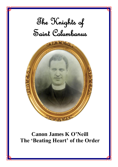# The Knights of Saint Columbanus



# **Canon James K O'Neill The 'Beating Heart' of the Order**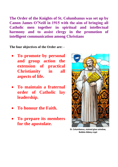**The Order of the Knights of St. Columbanus was set up by Canon James O'Neill in 1915 with the aim of bringing all Catholic men together in spiritual and intellectual harmony and to assist clergy in the promotion of intelligent communication among Christians**

**The four objectives of the Order are: -**

- **To promote by personal and group action the extension of practical Christianity in all aspects of life.**
- **To maintain a fraternal order of Catholic lay leadership.**
- **To honour the Faith.**
- **To prepare its members for the apostolate.**



**St. Columbanus, stained glass window, Bobbio Abbey crypt**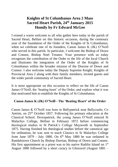# **Knights of St Columbanus Area 2 Mass Sacred Heart Parish, 24th January 2015 Homily by Fr Edward McGee**

I extend a warm welcome to all who gather here today in the parish of Sacred Heart, Belfast on this historic occasion, during the centenary year of the foundation of the Order of the Knights of St Columbanus, when we celebrate one of its founders, Canon James K (JK) O'Neill who served in this parish. In particular, I welcome the Bishop of Down and Connor, Bishop Noel Treanor. Your presence with us today recognises the contribution of the Order to the life of the local Church and illustrates the integration of the Order of the Knights of St Columbanus within the broader mission of the Diocese of Down and Connor. I also welcome today the Deputy Supreme Knight, Knights of Provincial Area 2 along with their family members, invited guests and the wider parish community of Sacred Heart.

It is most appropriate on this occasion to reflect on the life of Canon James O'Neill, the 'beating heart' of the Order, and explore what it was that motivated him to establish the Knights of St Columbanus.

#### **Canon James K (JK) O'Neill - The 'Beating Heart' of the Order**

Canon James K O'Neill was born in Ballypatrick near Ballycastle, Co Antrim, on 25<sup>th</sup> October 1857. Following his primary education at the Classical School, Downpatrick, the young James O'Neill entered St Malachys College, Belfast in February 1872 before commencing theological studies in St Patrick's College Maynooth in September 1875. Having finished his theological studies before the canonical age for ordination, he was sent to teach Classics in St Malachys College from June  $1879$  - July 1880. On  $6<sup>th</sup>$  May 1880 he was ordained in Randalstown Church by Bishop Dorrian, Bishop of Down and Connor. His first appointment as a priest was to his native Rathlin Island on  $1<sup>st</sup>$ August 1880 followed by a short curacy in Glenravel (August 1881 –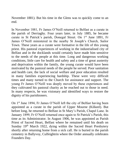November 1881). But his time in the Glens was to quickly come to an end.

In November 1881, Fr James O'Neill returned to Belfast as a curate in the parish of Derriaghy. Four years later, in July 1885, he became curate in St Patrick's parish, Donegal Street. On 1st June 1891, Fr James O'Neill ministered in the nearby St Joseph's Church, Sailor Town. These years as a curate were formative in the life of this young priest. His pastoral experiences of working in the industrialised city of Belfast and in the docklands would certainly have made him sensitive to the needs of the people at this time. Long and dangerous working conditions, little care for health and safety and a time of great austerity and deprivation within the family, the young curate would have been motivated by the pastoral needs of the people he served. Poor sanitation and health care, the lack of social welfare and poor education resulted in many families experiencing hardship. These were very difficult times and many turned to the Church for assistance and support. The young Fr James O'Neill was deeply moved by these experiences and they cultivated his pastoral charity as he reached out to those in need. In many respects, he was visionary and identified ways to restore the dignity of his parishioners.

On 1st June 1894, Fr James O'Neill left the city of Belfast having been appointed as a curate in the parish of Upper Mourne (Kilkeel). But before long, he returned to Belfast in St Mary's Parish, Chapel Lane. In January 1899, Fr O'Neill returned once again to St Patrick's Parish, this time as its Administrator. In August 1906, he was appointed as Parish Priest of Sacred Heart, Belfast where he remained until his death on Sunday 19<sup>th</sup> March 1922, dying within the Sacred Heart Presbytery shortly after returning home from a sick call. He is buried in the parish cemetery in Ballyvoy, Culfeightrin where the Order annually celebrates Founders Day.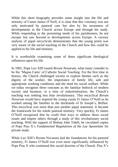While this short biography provides some insight into the life and ministry of Canon James O'Neill, it is clear that this visionary was not only motivated by pastoral care but also by his awareness of developments in the Church across Europe and through his study. While responding to the presenting needs of his parishioners, he not myopic but saw beyond to developments across Europe. A cursory analysis of papal encyclicals demonstrates that the young priest was very aware of the social teaching of the Church and how this could be applied to his life and ministry.

It is worthwhile examining some of these significant theological influences upon his life.

In 1891, Pope Leo XIII issued *Rerum Novarum*; what many consider to be the 'Magna Carta' of Catholic Social Teaching. For the first time in history, the Church challenged society to explore themes such as the dignity of the worker, the importance of family life, safe and appropriate working conditions and the need for social welfare. While we today recognise these concepts as the familiar bedrock of modern society and business, in a time of industrialisation, the Church's teaching was nothing less than revolutionary. This encyclical *Rerum Novarum* would have inspired the young curate Fr James O'Neill as he worked among the families in the docklands of St Joseph's, Belfast. This encyclical was more than just another papal statement. It became the framework for his whole pastoral ministry. Very quickly, Fr James O'Neill recognised that he could find ways to address these social issues and inspire others through a study of this revolutionary social teaching. With the support of Bishop John Tohill, he circulated copies of Pope Pius X's *Fundamental Regulations of the Lay Apostolate* for private study.

While Leo XIII's Rerum Novarum laid the foundations for his pastoral ministry, Fr James O'Neill was even more significantly influenced by Pope Pius X who continued this social doctrine of the Church. Pius X's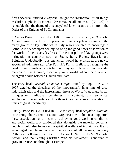first encyclical entitled *E Supremi* sought the 'restoration of all things in Christ' (Eph. 1:10) so that 'Christ may be all and in all' (Col. 3:2). It is notable that the theme of this encyclical later became the motto of the Order of the Knights of St Columbanus.

*Il Fermo Proposito*, issued in 1905, examined the emergent 'Catholic Action' groups in Italy. In particular, this encyclical examined the many groups of lay Catholics in Italy who attempted to encourage a Catholic influence upon society, to bring the good news of salvation to the world of their everyday lives. These non-political lay groups were influential in countries such as Spain, Italy, France, Bavaria and Belgium. Undoubtedly, this encyclical would have inspired the newly appointed Administrator of St Patrick's Parish, Belfast to recognise the need for and significant contribution of lay apostolates within the wider mission of the Church, especially in a world where there was an emergent divide between Church and State.

The encyclical *Pascendi Dominici Gregis* issued by Pope Pius X in 1907 detailed the doctrines of the 'modernists'. In a time of great industrialisation and the increasingly threat of World War, many began to question traditional certainties. In contrast, this encyclical emphasised the importance of faith in Christ as a sure foundation in times of great uncertainty.

Finally, Pope Pius X issued in 1912 the encyclical *Singulari Quadam* concerning the German Labour Organisations. This text supported these associations as a means to achieving good working conditions and social welfare. It cautioned that alongside the material concerns, people should also focus on the spiritual welfare of individuals. It also encouraged people to consider the welfare of all persons, not only Catholics. Following the Death of Canon O'Neill in 1922, 'Catholic Action' and the 'Young Christian Workers Movement' continued to grow in France and throughout Europe.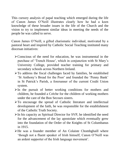This cursory analysis of papal teaching which emerged during the life of Canon James O'Neill illustrates clearly how he had a keen knowledge of these broader issues in the life of the Church and the vision to try to implement similar ideas in meeting the needs of the people he was called to serve.

Canon James O'Neill, a gifted charismatic individual, motivated by a pastoral heart and inspired by Catholic Social Teaching instituted many diocesan initiatives:

- ➢Conscious of the need for education, he was instrumental in the purchase of 'Trench House', which in conjunction with St Mary's University College, provided teacher training for primary and secondary schools across Northern Ireland.
- ➢To address the fiscal challenges faced by families, he established 'St Anthony's Bread for the Poor' and founded the 'Penny Bank' in St Patrick's Parish, a forerunner of the current Credit Union system.
- $\triangleright$  In the pursuit of better working conditions for mothers and children, he founded a Crèche for the children of working mothers under the care of the Bon Secours sisters.
- ➢To encourage the spread of Catholic literature and intellectual development of the faith, he was responsible for the establishment of the Catholic Truth Society.
- $\triangleright$  In his capacity as Spiritual Director for SVP, he identified the need for the advancement of the lay apostolate which eventually grew into the foundation of the Order of the Knights of St Columbanus in 1915.
- ➢He was a founder member of An Colaiste Chomhghaill where 'though not a fluent speaker of Irish himself, Canon O'Neill was an ardent supporter of the Irish language movement'.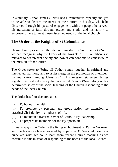In summary, Canon James O'Neill had a tremendous capacity and gift to be able to discern the needs of the Church in his day, which he discerned through his pastoral engagement with the people he served, his nurturing of faith through prayer and study, and his ability to empower others to meet these discerned needs of the local church.

# **The Order of the Knights of St Columbanus**

Having briefly examined the life and ministry of Canon James O'Neill, we can recognise why the Order of the Knights of St Columbanus is relevant to our present society and how it can continue to contribute to the mission of the Church.

The Order seeks to 'bring all Catholic men together in spiritual and intellectual harmony and to assist clergy in the promotion of intelligent communication among Christians'. This mission statement brings together the pastoral charity that motivated Canon O'Neill along with a determined study of the social teaching of the Church responding to the needs of the local Church.

The Order has four declared aims:

- (i) To honour the faith.
- (ii) To promote by personal and group action the extension of practical Christianity in all phases of life.
- (iii) To maintain a fraternal Order of Catholic lay leadership.
- (iv) To prepare its members for the lay apostolate.

In many ways, the Order is the living embodiment of *Rerum Novarum* and the lay apostolate advocated by Pope Pius X. We could well ask ourselves what we could learn from recent Church teaching as we continue in this mission of responding to the needs of the local Church.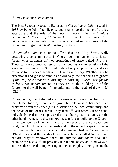If I may take one such example.

The Post-Synodal Apostolic Exhortation *Christifideles Laici*, issued in 1988 by Pope John Paul II, once again takes up the theme of the lay apostolate and the role of the laity. It desires "the *lay faithful's hearkening to the call of Christ the Lord to work in his vineyard,* to take an active, conscientious and responsible part in the mission of the Church *in this great moment in history*.*"*(CL3)

*Christifideles Laici* goes on to affirm that the "Holy Spirit, while bestowing diverse ministries in Church communion, enriches it still further with particular gifts or promptings of grace, called *charisms.*  These can take a great variety of forms, both as a manifestation of the absolute freedom of the Spirit who abundantly supplies them, and as a response to the varied needs of the Church in history. Whether they be exceptional and great or simple and ordinary, the charisms are *graces of the Holy Spirit that have,* directly or indirectly, *a usefulness for the ecclesial community,* ordered as they are to the building up of the Church, to the well-being of humanity and to the needs of the world." (CL24)

Consequently, one of the tasks of our time is to discern the charisms of the Order. Indeed, there is a symbiotic relationship between such charisms within the Order (gifts in service of the local community) and the needs of the local Church. They feed off each other. On one hand, individuals need to be empowered to use their gifts in service. On the other hand, we need to discern how these gifts can build up the Church, to the well-being of humanity and to the needs of the world. On one hand, the Church discerns the needs and on the other the spirit provides for these needs through the enabled charisms. Just as Canon James O'Neill discerned the needs of the people he was called to serve and explored ways to empower others, similarly the Order today is called to examine the needs of our present Church and society and find ways to address these needs empowering others to employ their gifts in the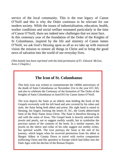service of the local community. This is the true legacy of Canon O'Neill and this is why the Order continues to be relevant for our modern society. While the issues of industrialisation, education, health, worker conditions and social welfare resonated particularly in the time of Canon O'Neill, there are indeed new challenges that we must face. In this centenary year of the foundation of the Order of the Knights of St Columbanus, inspired by the life and ministry of Canon James O'Neill, we ask God's blessing upon us all as we take up with renewed vision the mission to restore all things in Christ and to bring the good

*(This homily has been reprinted with the kind permission of Fr. Edward. McGee, Area 2 Chaplin.)*

news of salvation into the world of our everyday lives.

### **The Icon of St. Columbanus**

This holy icon was written to commemorate the 1400th anniversary of the death of Saint Columbanus on November 21st in the year 615 AD, and also to celebrate the Centenary of the formation of The Order of the Knights of Saint Columbanus in June1915 by Canon James O'Neill.

The icon depicts the Saint as an elderly man holding the book of the Gospels reverently with his left hand and arm covered by his robes and stole, the Saint being both abbot and priest. His right hand is raised in blessing, his fingers forming the letters IC XC, the Greek abbreviated form of the Holy Name Jesus Christ. The Saint is therefore blessing in and with the name of Jesus. The Gospel book is heavily adorned with jewels and pearls, not to suggest earthly wealth, but to symbolise the precious nature of the contents of the book. In a similar manner, the jewels on the sleeve and collar of his robe suggest not earthly riches, but spiritual wealth. The icon portrays the Saint at the end of his journey, which began when he received permission from his abbot at Bangor Abbey in County Down to travel with twelve companions (reflecting Christ and His apostles) to Europe which had fallen into the Dark Ages with the decline of the Roman Empire.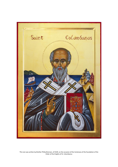

This icon was written by Brother Philip Brennan, of CK29, on the occasion of the Centenary of the foundation of the Order of the Knights of St. Columbanus